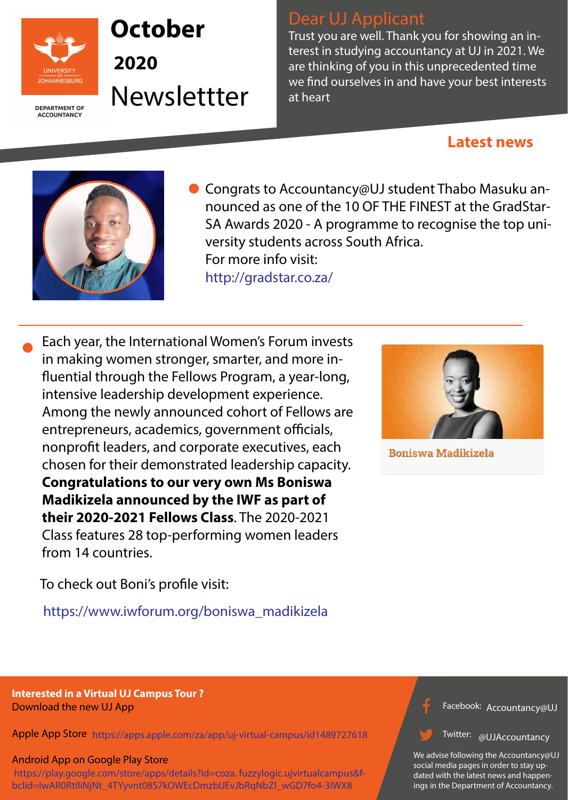

**DEPARTMENT OF ACCOUNTANCY** 

> Facebook:  $h$ ccountancycl Accountancy@UJ

Twitter: allIAccountancy **WOJACCOUNT** @UJAccountancy

https://www.iwforum.org/boniswa\_madikizela



**Boniswa Madikizela** 

We advise following the Accountancy@UJ social media pages in order to stay updated with the latest news and happenings in the Department of Accountancy.

● Congrats to Accountancy@UJ student Thabo Masuku announced as one of the 10 OF THE FINEST at the GradStar-SA Awards 2020 - A programme to recognise the top university students across South Africa. For more info visit: http://gradstar.co.za/

### **Interested in a Virtual UJ Campus Tour ?**  Download the new UJ App

#### Android App on Google Play Store

Apple App Store https://apps.apple.com/za/app/uj-virtual-campus/id1489727618

 https://play.google.com/store/apps/details?id=coza. fuzzylogic.ujvirtualcampus&fbclid=IwAR0RtIliNjNt\_4TYyvnt08S7kOWEcDmzbIJEvJbRqNbZl\_wGD7fo4-3IWX8

Each year, the International Women's Forum invests in making women stronger, smarter, and more in fluential through the Fellows Program, a year-long, intensive leadership development experience. Among the newly announced cohort of Fellows are entrepreneurs, academics, government officials, nonprofit leaders, and corporate executives, each chosen for their demonstrated leadership capacity. **Congratulations to our very own Ms Boniswa Madikizela announced by the IWF as part of their 2020-2021 Fellows Class**. The 2020-2021 Class features 28 top-performing women leaders from 14 countries.

To check out Boni's profile visit:

# Dear UJ Applicant

Trust you are well. Thank you for showing an interest in studying accountancy at UJ in 2021. We are thinking of you in this unprecedented time we find ourselves in and have your best interests at heart

# **October**

**2020**  Newslettter

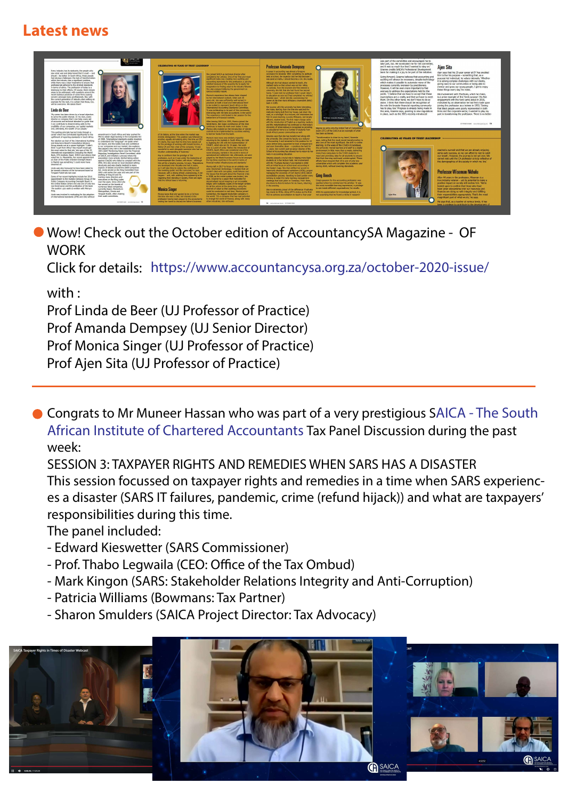Wow! Check out the October edition of AccountancySA Magazine - OF **WORK** 

- **https://www.facebook.com/OcialSAICA/?eid=ARBlKlZuahK5\_1JvYbw0cjhoV7BifaEMqufCNEnI6ftiAz7yGn0obRJae1zViqRqkrxWDcPHEtkCy16k&fref=mentions&\_\_xts\_\_[0]=68.ARDK4VTHsEwP9zp2Xjtn-qILLQTGgOA6XYO4MBxITe1R6cfJejKpwZoDnlJngZSsF252WAx** African Institute of Chartered Accountants Tax Panel Discussion during the past **hIdJFex\_DkZ7Zr-uGT0q06RU9abZVsvrGroHvM29i3sZfNbONVOmq5UYItMDDN1\_UKuhyUAccvvBFfLpprv7j9m9XfCSjL4AlgF3fP9HIVOSdt0Ow • Congrats to Mr Muneer Hassan who was part of a very prestigious SAICA - The South** week:
	- SESSION 3: TAXPAYER RIGHTS AND REMEDIES WHEN SARS HAS A DISASTER
	- This session focussed on taxpayer rights and remedies in a time when SARS experiences a disaster (SARS IT failures, pandemic, crime (refund hijack)) and what are taxpayers' responsibilities during this time.

Click for details: https://www.accountancysa.org.za/october-2020-issue/

The panel included:

- Edward Kieswetter (SARS Commissioner)
- Prof. Thabo Legwaila (CEO: Office of the Tax Ombud)
- Mark Kingon (SARS: Stakeholder Relations Integrity and Anti-Corruption)
- Patricia Williams (Bowmans: Tax Partner)
- Sharon Smulders (SAICA Project Director: Tax Advocacy)



### with :

Prof Linda de Beer (UJ Professor of Practice)

Prof Amanda Dempsey (UJ Senior Director) Prof Monica Singer (UJ Professor of Practice) Prof Ajen Sita (UJ Professor of Practice)

## **Latest news**

Every industry has its stalwarts: the people who caw what was and determined that it could ... and saw what was and determined that it could – and<br>should – be better. In South Africa, those people<br>had obvious challenges: the lack of transformation within the industry was a significant problem, while there was a clear imperative to ensure that professionals adhered to the strictest standards in terms of ethics. The profession of today is a In terms of ethics. The protession of today is a<br>testimony to their efforts. Of course, there remain<br>areas to be addressed, with questions around the<br>recent dubious practices of some firms causing<br>concern amongst many prof example for the next, it is certain that these, too,<br>will be overcome. We salute them!

Linda de Beer 'My career has been driven by a broad objective:

to serve the public interest. In my view, every<br>director or company that I can help; every set<br>of accounts and technical standard or guide that or accounts and economic standard or given that I can contribute to disseminating adds to the credibility of our companies, our capital markets and, ultimately, the wealth of our people.

This quiding principle has led Linda through a career which has contributed significantly to the pliftment of reporting standards in South Africa.

Her election as chair of the International Auditing and Assurance Board's Consultative Advisory Group stands out at a career highlight: 'I didn't think "a girl from Africa" like myself would get the most votes for that job,' she says of the 35<br>international organisations (including the World international organisations (including the World<br>Bank, CFA Institute, Basel, IOSCO and others) thal voted her in. Meanwhile, her recent appointment as chair of the Public Interest Oversight Board in Madrid was something 'I could never have dreamed of'.

Linda was also honoured to have been asked to<br>be named a director of the turnaround board at Tongaat-Hulett late last year.

Some of her recent highlights include her 2016<br>appointment to the Investor Advisory Group of the<br>Public Company Accounting Oversight Board in<br>the United States (where she was one of only two non-Americans) and the publication of the book The auditor: quo vadis co-written with Mervyn

Linda was involved in motivating for the adoption<br>of international standards (IFRS and ISA) without



 $\sum_{40}$ 

dment in South Africa and later pushed for FRS to obtain legal backing in the Companies Act<br>of 2008. 'International standards enable investors or 2006. International standards enable lives<br>to understand the "language" we speak when<br>we report, and this builds trust and confidence in our companies and our market,' she explains She played a key role in the establishment of the JSE's GAAP Monitoring Panel (now the Financial ting Investigations Panel Committee) while reporting investigations rained to a process where the<br>association more actively started taking action<br>against CAs(SA) who failed to complain with the IFRS. She also served on local standard-setting structures and was closely involved in many

aspects of debate around the 2008 Companies Act. Linda served on the King Committee from<br>2002 until earlier this year and was part of the drafting of King III and IV, training many directors and executives on the King codes over the years. Since 2010 she has served on the boards of<br>numerous listed companies,<br>currently Aspen, Momentum

Metropolitan, Omnia and

their audit committees.

Tongaat-Hulett, often chairing

**Monica Singer** 



**CELEBRATING 40 YEARS OF TRUST LEADERSHIP** 

intuitive understanding of business."

Monica's experience has always been shaped<br>by her international outlook; when just 30<br>years old, she was sufficiently well-versed in<br>practices at both a local and international level to be invited to represent South Africa on the<br>International Accounting Standards Committee It was exhilarating to be part of this community teracting with the best accountants in the worl<br>he experience contributed to her passion for th

After leaving SAICA in 1995. Monica joined the World Bank. Her major contribution of this time<br>continues to leave its mark even today: it was O Monica who insisted on the introduction of stricte entrols to be implemented by countries wishing to borrow funds from the bank.

etterment of financial markets.

of its history, at the time when the market was or the mediatory of the mediator of the property deregulated. This position was followed by another, equally stimulating stint, this time as CEO of Liberty. Roy says that his time here stands out Monica's next move was similarly impactful:<br>returning to the markets in South Africa, she took<br>to digitising the JSE with the implementation of<br>STRATE, which she ran for 19 years. Her work or the privilege of working with Donald Gordon, a fellow CA and then chair of the company. 'It was<br>wonderful to work alongside someone who had an here is a point of pride: 'Before the introduction of<br>STRATE, South Africa was considered one of the worst emerging markets in the world in terms of<br>operational and settlement risk; afterwards, we were

Roy is confident that the prestige of the profession, such as it was under the leadership of<br>usinesspeople like Gordon, will return – although judged by the World Economic Forum to be amongst the top three countries in the world in terms of financial market infrastructures and standards." this will be a lengthy process, he says. 'Reputations<br>are developed over decades and lost in years,<br>so it will take time to restore the confidence of<br>the investing public and the consumer,' he says. Monica left in 2017 to focus on an entirely new area: blockchain technology. 'I realised that we<br>couldn't deal with corruption, audit failures and<br>the issues that brought about the financial crisis .<br>However, with a strong ethical underpinning, it can<br>happen – and, with auditing firms appearing to be in 2008, as the entire system was broken,' she regaining their standing in society, there are signs<br>that the ethical base is returning. says. Inspired by a paper that motivated for decentralised record-keeping in an immutable<br>ledger, with multiples copies of the ledger writter

for all the actors at the same time, using the<br>internet of value so that auditing procedures<br>could be conducted in real time, Monica joined Monica knew that she wanted to be a CA from<br>the time she was a child; her interest in the<br>profession having been piqued by the accountants<br>visiting her home to discuss her father's business. ConsenSys, the biggest blockchain company in<br>the world. Tts a company that has real potential<br>to change the world of finance, along with many<br>other industries,' she enthuses.

in the evening.



and this metamorphosis has continued so that today's<br>University of Johannesburg is recognised as providing<br>an educational home to a number of students from degree as entry into the Initial Test of Comp exam (ITC) of the SAICA as an example of what has been achieved

Amanda says that she has transformed along with the university. She joined the faculty as a lecturer<br>of Accounting 1 and remained in this position for 22 years before being appointed to head of department<br>and soon thereafter, dean – a position she held for learning. In the wake of the COVID-19 lockdown 11 years. Her current post as senior director of the<br>School of Accounting has allowed her to return to her more than computers to the 5 000 students in Amanda played a crucial role in helping more black<br>students sit in her lecture halls. Her involvement<br>with the Thuthuka Bursary Fund started in 2002 efforts have ensured that UJ is one of only two with an initial focus on school-level accounting in during 2020, without lowering standards.

#### where an initial rocus on school-level accounting in<br>the Eastern Cape. She then shifted her accent to<br>historically disadvantaged institutions (HDIs), project<br>managing the University of Fort Hare's (UFH) SAICA accreditation process, travelling to East London every<br>evening to make the early morning management **Greg Beech**

 $\Omega$ 

meetings that took place on Tuesdays. From there, she drove to Alice to lecture for six hours, returning sparked when he commenced his articles: 'It was the most incredible learning exper to see inside different organisations,' he recalls.



**Professor Amanda Dempsey** 

A career in accounting was almost a foregone<br>conclusion for Amanda: 'After completing my aptitude

tests at school, the inspector told me that because I<br>was good at maths, I should become a CA,' she recalls

Although she had always wanted to teach, she

France callsed early on that school was not her milieu.<br>In contrast, from the moment she first entered a university, she felt that she had found her second

anne. It even told my professor that I would return<br>to education as soon as I had completed my articles<br>Amanda says – which she did, commencing her

career at the then Rand Afrikaans Universiteit (RAU)<br>back in 1985.

Her journey with the university has been interesting<br>she notes, starting from the time she watched the<br>institution being built from her house, just down the<br>road, as a schoolgirl. As a lecturer, she remembers h

First 10 years beaching a purely Afrikaans, and largely<br>affluent, student body. The first major change came<br>with the introduction of English as a teaching medium,

South Africa's poorer communities as well.

roots in accounting education.

"Transformation is close to my heart,' Amanda says, noting that the most recent transformation is also one of the most significant: the shift to online the university moved learners and staff to a digital environment in little more than a week, delivering need and providing data for all students to ensure<br>that their learning continued uninterrupted. These

universities which will complete this academic yea Greg's passion for the accounting profession was

She is extremely proud of the difference Thuthuka<br>has made to HDIs, citing UFH's status as the first With his appreciation for knowledge ignited, it is<br>HDI to achieve accreditation to teach a four-year and surprising that

was part of the committee and encouraged me to take part, too. He nominated me for the committe and it was so much fun that I wanted to stay on. Graeme credits SAICA's Professional Development team for making it a joy to be part of the initiative.

Going forward, Graeme believes that accounting and auditing will always be necessary, despite technology which makes it possible to automate many of the processes currently overseen by practitioners However, it will be even more important to find avenues to address the expectations held by the public. 'I believe that we have to accept that these expectations are a reality and that we have to meet them. On the other hand, we don't have to do so alone. I think that there should be recognition of the role the broader financial reporting community has to play, too.' Progress is already being made in this area, Graeme says, pointing to new regulations in place, such as the JSE's recently introduced

#### Aien Sita

Ajen says that his 25-year career at EY has enabled him to live his purpose – something that, as a<br>purpose-led individual, he values intensely. 'Whether it is solving complex challenges with our clients. giving back to our communities or being able to mentor and grow our young people, I get to enjoy these things every day,' he notes.

His involvement with Thuthuka, which he chairs. is a prime example of this 'lived purpose'. His first engagement with the fund came about in 2010, motivated by an observation he had first made upon joining the profession as a trainee in 1993. 'Seeing that black people were poorly represented in both firms and the corporate sector, I wanted to play my part in transforming the profession. There is no better

OCTOBER 2020 acountancysa org.za 19



Ő

**CELEBRATING 40 YEARS OF TRUST LEADERSHIP** 

reached a summit and that we are already enjoying some early success, so we can afford to rest to catch our breath. However, the journey is not yet over. We cannot rest until the CA profession is truly reflective of the demographics of the society in which we live.

#### **Professor Wiseman Nkhulu**

After 44 years in the profession. Wiseman is a true industry veteran - yet its potential to make a positive impact on society still excites him. 'We're looked upon to confirm that those who have een given stewardship over our resources and finances are doing so with integrity and fulfilling their responsibilities appropriately. That's the most magnificent part of what we do,' he says.

He says that, as a teacher at various levels, it has in a privilege to contribute to the developm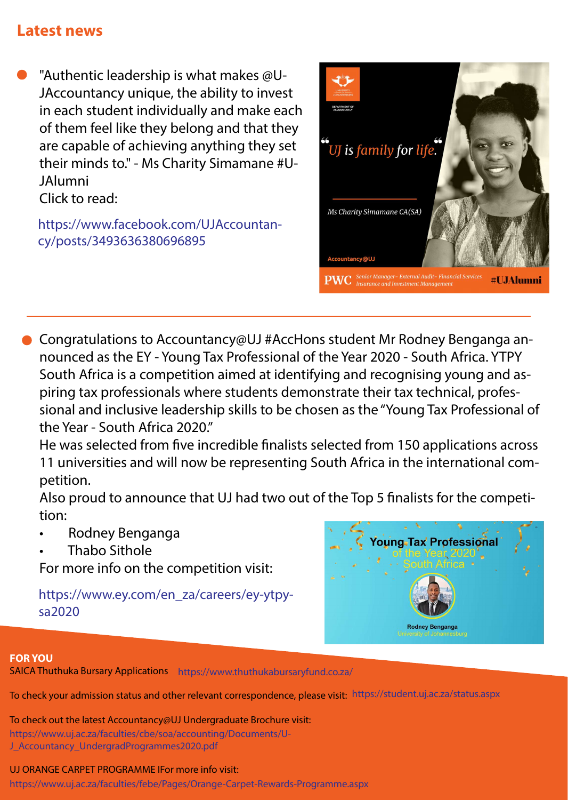#### SAICA Thuthuka Bursary Applications https://www.thuthukabursaryfund.co.za/

To check your admission status and other relevant correspondence, please visit: https://student.uj.ac.za/status.aspx

#### UJ ORANGE CARPET PROGRAMME IFor more info visit:

To check out the latest Accountancy@UJ Undergraduate Brochure visit: https://www.uj.ac.za/faculties/cbe/soa/accounting/Documents/U-J\_Accountancy\_UndergradProgrammes2020.pdf

https://www.uj.ac.za/faculties/febe/Pages/Orange-Carpet-Rewards-Programme.aspx

- "Authentic leadership is what makes @U-JAccountancy unique, the ability to invest in each student individually and make each of them feel like they belong and that they are capable of achieving anything they set their minds to." - Ms Charity Simamane #U-JAlumni Click to read:
	- https://www.facebook.com/UJAccountancy/posts/3493636380696895



- Congratulations to Accountancy@UJ #AccHons student Mr Rodney Benganga announced as the EY - Young Tax Professional of the Year 2020 - South Africa. YTPY South Africa is a competition aimed at identifying and recognising young and aspiring tax professionals where students demonstrate their tax technical, professional and inclusive leadership skills to be chosen as the "Young Tax Professional of the Year - South Africa 2020."
	- He was selected from five incredible finalists selected from 150 applications across 11 universities and will now be representing South Africa in the international competition.
	- Also proud to announce that UJ had two out of the Top 5 finalists for the competition:
	- Rodney Benganga
	- Thabo Sithole

For more info on the competition visit:

https://www.ey.com/en\_za/careers/ey-ytpysa2020

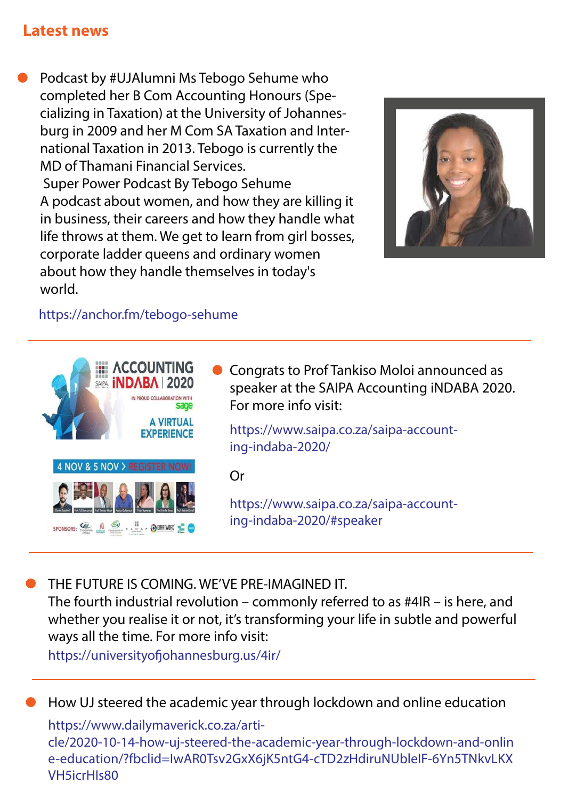Podcast by #UJAlumni Ms Tebogo Sehume who completed her B Com Accounting Honours (Specializing in Taxation) at the University of Johannesburg in 2009 and her M Com SA Taxation and International Taxation in 2013. Tebogo is currently the MD of Thamani Financial Services. Super Power Podcast By Tebogo Sehume A podcast about women, and how they are killing it in business, their careers and how they handle what life throws at them. We get to learn from girl bosses, corporate ladder queens and ordinary women about how they handle themselves in today's world.

The fourth industrial revolution – commonly referred to as #4IR – is here, and whether you realise it or not, it's transforming your life in subtle and powerful ways all the time. For more info visit: https://universityofjohannesburg.us/4ir/

https://anchor.fm/tebogo-sehume







Congrats to Prof Tankiso Moloi announced as speaker at the SAIPA Accounting iNDABA 2020. For more info visit:

Or

https://www.saipa.co.za/saipa-accounting-indaba-2020/

https://www.saipa.co.za/saipa-accounting-indaba-2020/#speaker

THE FUTURE IS COMING. WE'VE PRE-IMAGINED IT.

## How UJ steered the academic year through lockdown and online education

### https://www.dailymaverick.co.za/arti-

cle/2020-10-14-how-uj-steered-the-academic-year-through-lockdown-and-onlin e-education/?fbclid=IwAR0Tsv2GxX6jK5ntG4-cTD2zHdiruNUbleIF-6Yn5TNkvLKX VH5icrHIs80